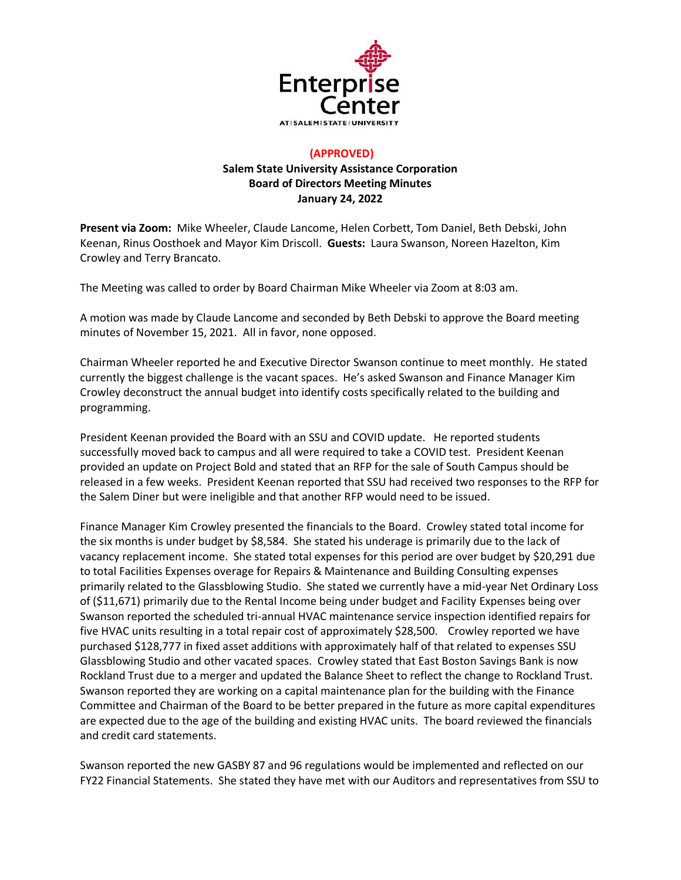

## **(APPROVED) Salem State University Assistance Corporation Board of Directors Meeting Minutes January 24, 2022**

**Present via Zoom:** Mike Wheeler, Claude Lancome, Helen Corbett, Tom Daniel, Beth Debski, John Keenan, Rinus Oosthoek and Mayor Kim Driscoll. **Guests:** Laura Swanson, Noreen Hazelton, Kim Crowley and Terry Brancato.

The Meeting was called to order by Board Chairman Mike Wheeler via Zoom at 8:03 am.

A motion was made by Claude Lancome and seconded by Beth Debski to approve the Board meeting minutes of November 15, 2021. All in favor, none opposed.

Chairman Wheeler reported he and Executive Director Swanson continue to meet monthly. He stated currently the biggest challenge is the vacant spaces. He's asked Swanson and Finance Manager Kim Crowley deconstruct the annual budget into identify costs specifically related to the building and programming.

President Keenan provided the Board with an SSU and COVID update. He reported students successfully moved back to campus and all were required to take a COVID test. President Keenan provided an update on Project Bold and stated that an RFP for the sale of South Campus should be released in a few weeks. President Keenan reported that SSU had received two responses to the RFP for the Salem Diner but were ineligible and that another RFP would need to be issued.

Finance Manager Kim Crowley presented the financials to the Board. Crowley stated total income for the six months is under budget by \$8,584. She stated his underage is primarily due to the lack of vacancy replacement income. She stated total expenses for this period are over budget by \$20,291 due to total Facilities Expenses overage for Repairs & Maintenance and Building Consulting expenses primarily related to the Glassblowing Studio. She stated we currently have a mid-year Net Ordinary Loss of (\$11,671) primarily due to the Rental Income being under budget and Facility Expenses being over Swanson reported the scheduled tri-annual HVAC maintenance service inspection identified repairs for five HVAC units resulting in a total repair cost of approximately \$28,500. Crowley reported we have purchased \$128,777 in fixed asset additions with approximately half of that related to expenses SSU Glassblowing Studio and other vacated spaces. Crowley stated that East Boston Savings Bank is now Rockland Trust due to a merger and updated the Balance Sheet to reflect the change to Rockland Trust. Swanson reported they are working on a capital maintenance plan for the building with the Finance Committee and Chairman of the Board to be better prepared in the future as more capital expenditures are expected due to the age of the building and existing HVAC units. The board reviewed the financials and credit card statements.

Swanson reported the new GASBY 87 and 96 regulations would be implemented and reflected on our FY22 Financial Statements. She stated they have met with our Auditors and representatives from SSU to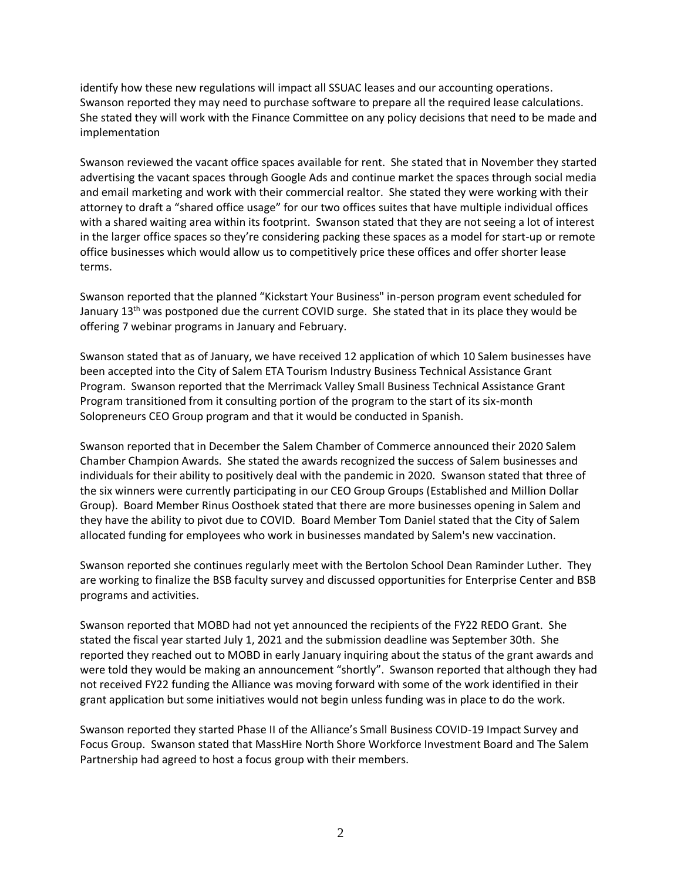identify how these new regulations will impact all SSUAC leases and our accounting operations. Swanson reported they may need to purchase software to prepare all the required lease calculations. She stated they will work with the Finance Committee on any policy decisions that need to be made and implementation

Swanson reviewed the vacant office spaces available for rent. She stated that in November they started advertising the vacant spaces through Google Ads and continue market the spaces through social media and email marketing and work with their commercial realtor. She stated they were working with their attorney to draft a "shared office usage" for our two offices suites that have multiple individual offices with a shared waiting area within its footprint. Swanson stated that they are not seeing a lot of interest in the larger office spaces so they're considering packing these spaces as a model for start-up or remote office businesses which would allow us to competitively price these offices and offer shorter lease terms.

Swanson reported that the planned "Kickstart Your Business" in-person program event scheduled for January 13<sup>th</sup> was postponed due the current COVID surge. She stated that in its place they would be offering 7 webinar programs in January and February.

Swanson stated that as of January, we have received 12 application of which 10 Salem businesses have been accepted into the City of Salem ETA Tourism Industry Business Technical Assistance Grant Program. Swanson reported that the Merrimack Valley Small Business Technical Assistance Grant Program transitioned from it consulting portion of the program to the start of its six-month Solopreneurs CEO Group program and that it would be conducted in Spanish.

Swanson reported that in December the Salem Chamber of Commerce announced their 2020 Salem Chamber Champion Awards. She stated the awards recognized the success of Salem businesses and individuals for their ability to positively deal with the pandemic in 2020. Swanson stated that three of the six winners were currently participating in our CEO Group Groups (Established and Million Dollar Group). Board Member Rinus Oosthoek stated that there are more businesses opening in Salem and they have the ability to pivot due to COVID. Board Member Tom Daniel stated that the City of Salem allocated funding for employees who work in businesses mandated by Salem's new vaccination.

Swanson reported she continues regularly meet with the Bertolon School Dean Raminder Luther. They are working to finalize the BSB faculty survey and discussed opportunities for Enterprise Center and BSB programs and activities.

Swanson reported that MOBD had not yet announced the recipients of the FY22 REDO Grant. She stated the fiscal year started July 1, 2021 and the submission deadline was September 30th. She reported they reached out to MOBD in early January inquiring about the status of the grant awards and were told they would be making an announcement "shortly". Swanson reported that although they had not received FY22 funding the Alliance was moving forward with some of the work identified in their grant application but some initiatives would not begin unless funding was in place to do the work.

Swanson reported they started Phase II of the Alliance's Small Business COVID-19 Impact Survey and Focus Group. Swanson stated that MassHire North Shore Workforce Investment Board and The Salem Partnership had agreed to host a focus group with their members.